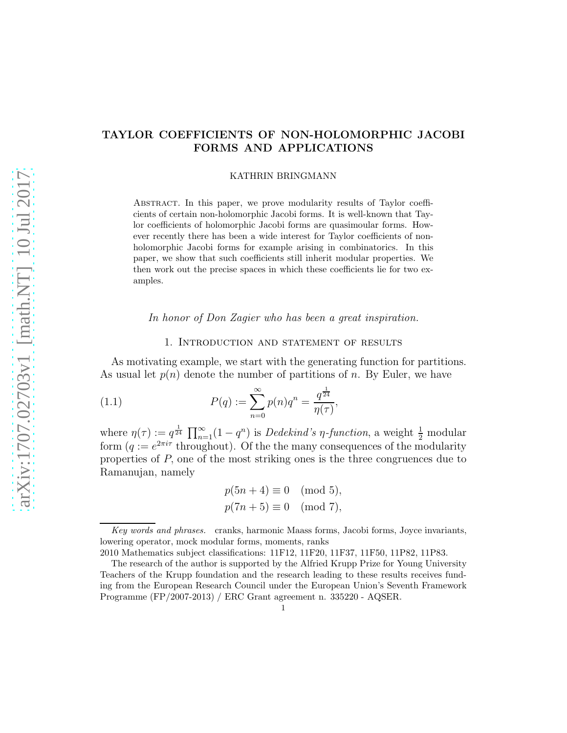# TAYLOR COEFFICIENTS OF NON-HOLOMORPHIC JACOBI FORMS AND APPLICATIONS

#### KATHRIN BRINGMANN

Abstract. In this paper, we prove modularity results of Taylor coefficients of certain non-holomorphic Jacobi forms. It is well-known that Taylor coefficients of holomorphic Jacobi forms are quasimoular forms. However recently there has been a wide interest for Taylor coefficients of nonholomorphic Jacobi forms for example arising in combinatorics. In this paper, we show that such coefficients still inherit modular properties. We then work out the precise spaces in which these coefficients lie for two examples.

In honor of Don Zagier who has been a great inspiration.

### 1. Introduction and statement of results

As motivating example, we start with the generating function for partitions. As usual let  $p(n)$  denote the number of partitions of n. By Euler, we have

(1.1) 
$$
P(q) := \sum_{n=0}^{\infty} p(n)q^{n} = \frac{q^{\frac{1}{24}}}{\eta(\tau)},
$$

where  $\eta(\tau) := q^{\frac{1}{24}} \prod_{n=1}^{\infty} (1 - q^n)$  is *Dedekind's*  $\eta$ -function, a weight  $\frac{1}{2}$  modular form  $(q := e^{2\pi i \tau}$  throughout). Of the the many consequences of the modularity properties of P, one of the most striking ones is the three congruences due to Ramanujan, namely

$$
p(5n + 4) \equiv 0 \pmod{5},
$$
  

$$
p(7n + 5) \equiv 0 \pmod{7},
$$

Key words and phrases. cranks, harmonic Maass forms, Jacobi forms, Joyce invariants, lowering operator, mock modular forms, moments, ranks

<sup>2010</sup> Mathematics subject classifications: 11F12, 11F20, 11F37, 11F50, 11P82, 11P83.

The research of the author is supported by the Alfried Krupp Prize for Young University Teachers of the Krupp foundation and the research leading to these results receives funding from the European Research Council under the European Union's Seventh Framework Programme (FP/2007-2013) / ERC Grant agreement n. 335220 - AQSER.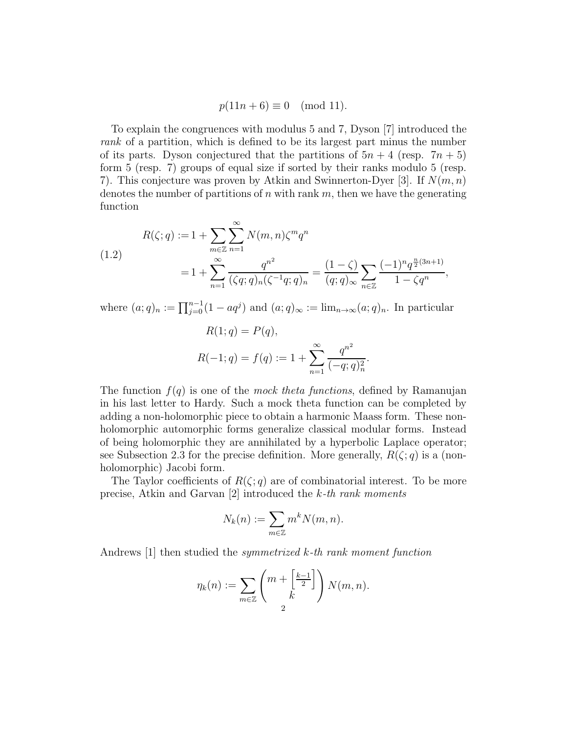$p(11n + 6) \equiv 0 \pmod{11}$ .

To explain the congruences with modulus 5 and 7, Dyson [7] introduced the rank of a partition, which is defined to be its largest part minus the number of its parts. Dyson conjectured that the partitions of  $5n + 4$  (resp.  $7n + 5$ ) form 5 (resp. 7) groups of equal size if sorted by their ranks modulo 5 (resp. 7). This conjecture was proven by Atkin and Swinnerton-Dyer [3]. If  $N(m, n)$ denotes the number of partitions of n with rank  $m$ , then we have the generating function

(1.2)  

$$
R(\zeta;q) := 1 + \sum_{m \in \mathbb{Z}} \sum_{n=1}^{\infty} N(m,n) \zeta^m q^n
$$

$$
= 1 + \sum_{n=1}^{\infty} \frac{q^{n^2}}{(\zeta q;q)_n (\zeta^{-1}q;q)_n} = \frac{(1-\zeta)}{(q;q)_{\infty}} \sum_{n \in \mathbb{Z}} \frac{(-1)^n q^{\frac{n}{2}(3n+1)}}{1-\zeta q^n},
$$

where  $(a;q)_n := \prod_{j=0}^{n-1} (1 - aq^j)$  and  $(a;q)_{\infty} := \lim_{n \to \infty} (a;q)_n$ . In particular

$$
R(1; q) = P(q),
$$
  

$$
R(-1; q) = f(q) := 1 + \sum_{n=1}^{\infty} \frac{q^{n^2}}{(-q; q)_n^2}.
$$

The function  $f(q)$  is one of the mock theta functions, defined by Ramanujan in his last letter to Hardy. Such a mock theta function can be completed by adding a non-holomorphic piece to obtain a harmonic Maass form. These nonholomorphic automorphic forms generalize classical modular forms. Instead of being holomorphic they are annihilated by a hyperbolic Laplace operator; see Subsection 2.3 for the precise definition. More generally,  $R(\zeta; q)$  is a (nonholomorphic) Jacobi form.

The Taylor coefficients of  $R(\zeta; q)$  are of combinatorial interest. To be more precise, Atkin and Garvan [2] introduced the k-th rank moments

$$
N_k(n):=\sum_{m\in\mathbb{Z}}m^kN(m,n).
$$

Andrews [1] then studied the symmetrized k-th rank moment function

$$
\eta_k(n) := \sum_{m \in \mathbb{Z}} \binom{m + \left[\frac{k-1}{2}\right]}{k} N(m, n).
$$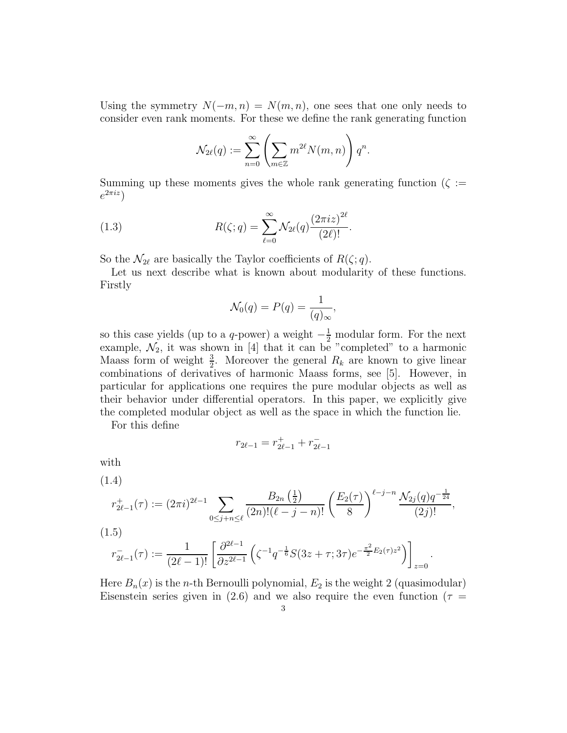Using the symmetry  $N(-m, n) = N(m, n)$ , one sees that one only needs to consider even rank moments. For these we define the rank generating function

$$
\mathcal{N}_{2\ell}(q) := \sum_{n=0}^{\infty} \left( \sum_{m \in \mathbb{Z}} m^{2\ell} N(m,n) \right) q^n.
$$

Summing up these moments gives the whole rank generating function  $(\zeta :=$  $e^{2\pi i z}$ 

(1.3) 
$$
R(\zeta;q) = \sum_{\ell=0}^{\infty} \mathcal{N}_{2\ell}(q) \frac{(2\pi i z)^{2\ell}}{(2\ell)!}.
$$

So the  $\mathcal{N}_{2\ell}$  are basically the Taylor coefficients of  $R(\zeta;q)$ .

Let us next describe what is known about modularity of these functions. Firstly

$$
\mathcal{N}_0(q) = P(q) = \frac{1}{(q)_{\infty}},
$$

so this case yields (up to a q-power) a weight  $-\frac{1}{2}$  modular form. For the next example,  $\mathcal{N}_2$ , it was shown in [4] that it can be "completed" to a harmonic Maass form of weight  $\frac{3}{2}$ . Moreover the general  $R_k$  are known to give linear combinations of derivatives of harmonic Maass forms, see [5]. However, in particular for applications one requires the pure modular objects as well as their behavior under differential operators. In this paper, we explicitly give the completed modular object as well as the space in which the function lie.

For this define

$$
r_{2\ell-1}=r_{2\ell-1}^++r_{2\ell-1}^-
$$

with

(1.4)

$$
r_{2\ell-1}^+(\tau) := (2\pi i)^{2\ell-1} \sum_{0 \le j+n \le \ell} \frac{B_{2n}\left(\frac{1}{2}\right)}{(2n)!(\ell-j-n)!} \left(\frac{E_2(\tau)}{8}\right)^{\ell-j-n} \frac{\mathcal{N}_{2j}(q)q^{-\frac{1}{24}}}{(2j)!},
$$

(1.5)

$$
r_{2\ell-1}^-(\tau) := \frac{1}{(2\ell-1)!} \left[ \frac{\partial^{2\ell-1}}{\partial z^{2\ell-1}} \left( \zeta^{-1} q^{-\frac{1}{6}} S(3z+\tau; 3\tau) e^{-\frac{\pi^2}{2} E_2(\tau) z^2} \right) \right]_{z=0}
$$

Here  $B_n(x)$  is the *n*-th Bernoulli polynomial,  $E_2$  is the weight 2 (quasimodular) Eisenstein series given in (2.6) and we also require the even function ( $\tau =$ 

.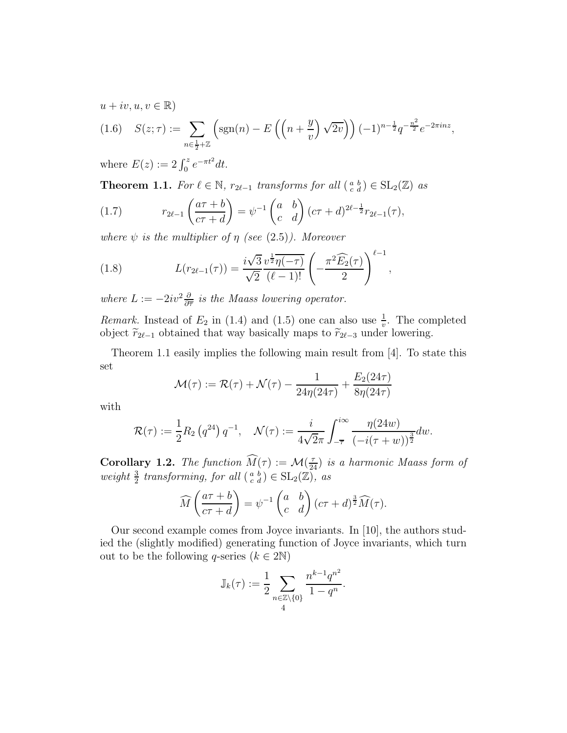$u + iv, u, v \in \mathbb{R}$ 

$$
(1.6) \quad S(z;\tau) := \sum_{n \in \frac{1}{2} + \mathbb{Z}} \left( \text{sgn}(n) - E\left( \left( n + \frac{y}{v} \right) \sqrt{2v} \right) \right) (-1)^{n - \frac{1}{2}} q^{-\frac{n^2}{2}} e^{-2\pi i n z},
$$

where  $E(z) := 2 \int_0^z e^{-\pi t^2} dt$ .

**Theorem 1.1.** For  $\ell \in \mathbb{N}$ ,  $r_{2\ell-1}$  transforms for all  $\begin{pmatrix} a & b \\ c & d \end{pmatrix} \in SL_2(\mathbb{Z})$  as

(1.7) 
$$
r_{2\ell-1}\left(\frac{a\tau+b}{c\tau+d}\right) = \psi^{-1}\begin{pmatrix} a & b \ c & d \end{pmatrix} (c\tau+d)^{2\ell-\frac{1}{2}}r_{2\ell-1}(\tau),
$$

where  $\psi$  is the multiplier of  $\eta$  (see (2.5)). Moreover

(1.8) 
$$
L(r_{2\ell-1}(\tau)) = \frac{i\sqrt{3}}{\sqrt{2}} \frac{v^{\frac{1}{2}} \overline{\eta(-\tau)}}{(\ell-1)!} \left(-\frac{\pi^2 \widehat{E_2}(\tau)}{2}\right)^{\ell-1},
$$

where  $L := -2iv^2 \frac{\partial}{\partial \overline{\tau}}$  is the Maass lowering operator.

*Remark.* Instead of  $E_2$  in (1.4) and (1.5) one can also use  $\frac{1}{v}$ . The completed object  $\widetilde{r}_{2l-1}$  obtained that way basically maps to  $\widetilde{r}_{2l-3}$  under lowering.

Theorem 1.1 easily implies the following main result from  $[4]$ . To state this set  $E(24)$ 

$$
\mathcal{M}(\tau) := \mathcal{R}(\tau) + \mathcal{N}(\tau) - \frac{1}{24\eta(24\tau)} + \frac{E_2(24\tau)}{8\eta(24\tau)}
$$

with

$$
\mathcal{R}(\tau) := \frac{1}{2} R_2 \left( q^{24} \right) q^{-1}, \quad \mathcal{N}(\tau) := \frac{i}{4\sqrt{2\pi}} \int_{-\overline{\tau}}^{i\infty} \frac{\eta(24w)}{\left( -i(\tau+w) \right)^{\frac{3}{2}}} dw.
$$

**Corollary 1.2.** The function  $\widehat{M}(\tau) := \mathcal{M}(\frac{\tau}{24})$  is a harmonic Maass form of weight  $\frac{3}{2}$  transforming, for all  $\left(\begin{smallmatrix} a & b \\ c & d \end{smallmatrix}\right) \in SL_2(\mathbb{Z})$ , as

$$
\widehat{M}\left(\frac{a\tau+b}{c\tau+d}\right) = \psi^{-1}\begin{pmatrix} a & b \\ c & d \end{pmatrix} (c\tau+d)^{\frac{3}{2}} \widehat{M}(\tau).
$$

Our second example comes from Joyce invariants. In [10], the authors studied the (slightly modified) generating function of Joyce invariants, which turn out to be the following q-series  $(k \in 2N)$ 

$$
\mathbb{J}_k(\tau) := \frac{1}{2} \sum_{\substack{n \in \mathbb{Z} \setminus \{0\} \\ 4}} \frac{n^{k-1} q^{n^2}}{1 - q^n}.
$$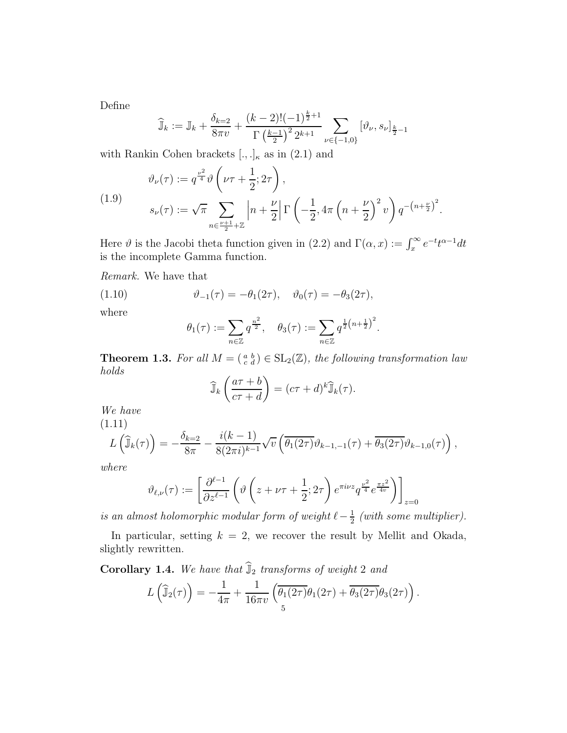Define

$$
\widehat{\mathbb{J}}_k := \mathbb{J}_k + \frac{\delta_{k=2}}{8\pi \nu} + \frac{(k-2)!(-1)^{\frac{k}{2}+1}}{\Gamma(\frac{k-1}{2})^2 2^{k+1}} \sum_{\nu \in \{-1,0\}} \left[ \vartheta_{\nu}, s_{\nu} \right]_{\frac{k}{2}-1}
$$

with Rankin Cohen brackets  $[.,.]_{\kappa}$  as in  $(2.1)$  and

(1.9) 
$$
\vartheta_{\nu}(\tau) := q^{\frac{\nu^2}{4}} \vartheta \left( \nu \tau + \frac{1}{2}; 2\tau \right),
$$

$$
s_{\nu}(\tau) := \sqrt{\pi} \sum_{n \in \frac{\nu+1}{2} + \mathbb{Z}} \left| n + \frac{\nu}{2} \right| \Gamma \left( -\frac{1}{2}, 4\pi \left( n + \frac{\nu}{2} \right)^2 v \right) q^{-\left( n + \frac{\nu}{2} \right)^2}.
$$

Here  $\vartheta$  is the Jacobi theta function given in (2.2) and  $\Gamma(\alpha, x) := \int_x^{\infty} e^{-t} t^{\alpha-1} dt$ is the incomplete Gamma function.

Remark. We have that

(1.10) 
$$
\vartheta_{-1}(\tau) = -\theta_1(2\tau), \quad \vartheta_0(\tau) = -\theta_3(2\tau),
$$

where

$$
\theta_1(\tau) := \sum_{n \in \mathbb{Z}} q^{\frac{n^2}{2}}, \quad \theta_3(\tau) := \sum_{n \in \mathbb{Z}} q^{\frac{1}{2}(n + \frac{1}{2})^2}.
$$

**Theorem 1.3.** For all  $M = \begin{pmatrix} a & b \\ c & d \end{pmatrix} \in SL_2(\mathbb{Z})$ , the following transformation law holds

$$
\widehat{\mathbb{J}}_k\left(\frac{a\tau+b}{c\tau+d}\right) = (c\tau+d)^k \widehat{\mathbb{J}}_k(\tau).
$$

We have (1.11)

$$
L\left(\widehat{\mathbb{J}}_k(\tau)\right) = -\frac{\delta_{k=2}}{8\pi} - \frac{i(k-1)}{8(2\pi i)^{k-1}}\sqrt{v}\left(\overline{\theta_1(2\tau)}\vartheta_{k-1,-1}(\tau) + \overline{\theta_3(2\tau)}\vartheta_{k-1,0}(\tau)\right),
$$

where

$$
\vartheta_{\ell,\nu}(\tau) := \left[ \frac{\partial^{\ell-1}}{\partial z^{\ell-1}} \left( \vartheta \left( z + \nu \tau + \frac{1}{2}; 2\tau \right) e^{\pi i \nu z} q^{\frac{\nu^2}{4}} e^{\frac{\pi z^2}{4v}} \right) \right]_{z=0}
$$

is an almost holomorphic modular form of weight  $\ell - \frac{1}{2}$  $\frac{1}{2}$  (with some multiplier).

In particular, setting  $k = 2$ , we recover the result by Mellit and Okada, slightly rewritten.

Corollary 1.4. We have that  $\widehat{\mathbb{J}}_2$  transforms of weight 2 and

$$
L\left(\widehat{\mathbb{J}}_2(\tau)\right) = -\frac{1}{4\pi} + \frac{1}{16\pi v} \left( \overline{\theta_1(2\tau)} \theta_1(2\tau) + \overline{\theta_3(2\tau)} \theta_3(2\tau) \right).
$$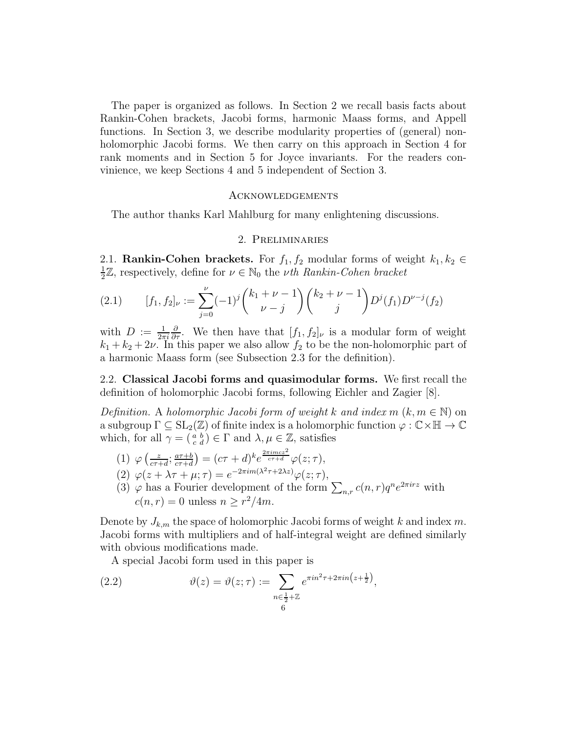The paper is organized as follows. In Section 2 we recall basis facts about Rankin-Cohen brackets, Jacobi forms, harmonic Maass forms, and Appell functions. In Section 3, we describe modularity properties of (general) nonholomorphic Jacobi forms. We then carry on this approach in Section 4 for rank moments and in Section 5 for Joyce invariants. For the readers convinience, we keep Sections 4 and 5 independent of Section 3.

#### Acknowledgements

The author thanks Karl Mahlburg for many enlightening discussions.

## 2. Preliminaries

2.1. **Rankin-Cohen brackets.** For  $f_1, f_2$  modular forms of weight  $k_1, k_2 \in$ 1  $\frac{1}{2}\mathbb{Z}$ , respectively, define for  $\nu \in \mathbb{N}_0$  the *vth Rankin-Cohen bracket* 

(2.1) 
$$
[f_1, f_2]_{\nu} := \sum_{j=0}^{\nu} (-1)^j {k_1 + \nu - 1 \choose \nu - j} {k_2 + \nu - 1 \choose j} D^j(f_1) D^{\nu - j}(f_2)
$$

with  $D := \frac{1}{2\pi i}$  $\frac{\partial}{\partial \tau}$ . We then have that  $[f_1, f_2]_{\nu}$  is a modular form of weight  $k_1 + k_2 + 2\nu$ . In this paper we also allow  $f_2$  to be the non-holomorphic part of a harmonic Maass form (see Subsection 2.3 for the definition).

2.2. Classical Jacobi forms and quasimodular forms. We first recall the definition of holomorphic Jacobi forms, following Eichler and Zagier [8].

Definition. A holomorphic Jacobi form of weight k and index  $m (k, m \in \mathbb{N})$  on a subgroup  $\Gamma \subseteq SL_2(\mathbb{Z})$  of finite index is a holomorphic function  $\varphi : \mathbb{C} \times \mathbb{H} \to \mathbb{C}$ which, for all  $\gamma = \begin{pmatrix} a & b \\ c & d \end{pmatrix} \in \Gamma$  and  $\lambda, \mu \in \mathbb{Z}$ , satisfies

- (1)  $\varphi\left(\frac{z}{c\tau}\right)$  $\frac{z}{c\tau+d}$ ;  $\frac{a\tau+b}{c\tau+d}$  $\frac{a\tau+b}{c\tau+d}$  =  $(c\tau+d)^k e^{\frac{2\pi imcz^2}{c\tau+d}} \varphi(z;\tau),$
- (2)  $\varphi(z + \lambda \tau + \mu; \tau) = e^{-2\pi i m(\lambda^2 \tau + 2\lambda z)} \varphi(z; \tau),$
- (3)  $\varphi$  has a Fourier development of the form  $\sum_{n,r} c(n,r)q^n e^{2\pi irz}$  with  $c(n,r) = 0$  unless  $n \geq r^2/4m$ .

Denote by  $J_{k,m}$  the space of holomorphic Jacobi forms of weight k and index m. Jacobi forms with multipliers and of half-integral weight are defined similarly with obvious modifications made.

A special Jacobi form used in this paper is

(2.2) 
$$
\vartheta(z) = \vartheta(z; \tau) := \sum_{\substack{n \in \frac{1}{2} + \mathbb{Z} \\ 6}} e^{\pi i n^2 \tau + 2\pi i n (z + \frac{1}{2})},
$$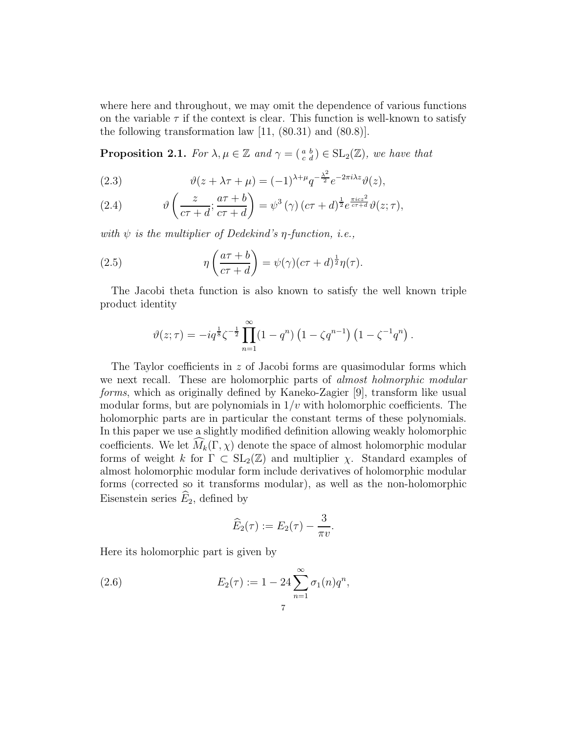where here and throughout, we may omit the dependence of various functions on the variable  $\tau$  if the context is clear. This function is well-known to satisfy the following transformation law  $[11, (80.31)$  and  $(80.8)$ .

**Proposition 2.1.** For  $\lambda, \mu \in \mathbb{Z}$  and  $\gamma = \begin{pmatrix} a & b \\ c & d \end{pmatrix} \in SL_2(\mathbb{Z})$ , we have that

(2.3) 
$$
\vartheta(z + \lambda \tau + \mu) = (-1)^{\lambda + \mu} q^{-\frac{\lambda^2}{2}} e^{-2\pi i \lambda z} \vartheta(z),
$$

(2.4) 
$$
\vartheta\left(\frac{z}{c\tau+d};\frac{a\tau+b}{c\tau+d}\right)=\psi^3(\gamma)(c\tau+d)^{\frac{1}{2}}e^{\frac{\pi icz^2}{c\tau+d}}\vartheta(z;\tau),
$$

with  $\psi$  is the multiplier of Dedekind's  $\eta$ -function, i.e.,

(2.5) 
$$
\eta\left(\frac{a\tau+b}{c\tau+d}\right) = \psi(\gamma)(c\tau+d)^{\frac{1}{2}}\eta(\tau).
$$

The Jacobi theta function is also known to satisfy the well known triple product identity

$$
\vartheta(z;\tau) = -iq^{\frac{1}{8}}\zeta^{-\frac{1}{2}}\prod_{n=1}^{\infty} (1-q^n)\left(1-\zeta q^{n-1}\right)\left(1-\zeta^{-1}q^n\right).
$$

The Taylor coefficients in  $z$  of Jacobi forms are quasimodular forms which we next recall. These are holomorphic parts of *almost holmorphic modular* forms, which as originally defined by Kaneko-Zagier [9], transform like usual modular forms, but are polynomials in  $1/v$  with holomorphic coefficients. The holomorphic parts are in particular the constant terms of these polynomials. In this paper we use a slightly modified definition allowing weakly holomorphic coefficients. We let  $\widehat{M}_k(\Gamma,\chi)$  denote the space of almost holomorphic modular forms of weight k for  $\Gamma \subset SL_2(\mathbb{Z})$  and multiplier  $\chi$ . Standard examples of almost holomorphic modular form include derivatives of holomorphic modular forms (corrected so it transforms modular), as well as the non-holomorphic Eisenstein series  $\widehat{E}_2$ , defined by

$$
\widehat{E}_2(\tau) := E_2(\tau) - \frac{3}{\pi v}.
$$

Here its holomorphic part is given by

(2.6) 
$$
E_2(\tau) := 1 - 24 \sum_{n=1}^{\infty} \sigma_1(n) q^n,
$$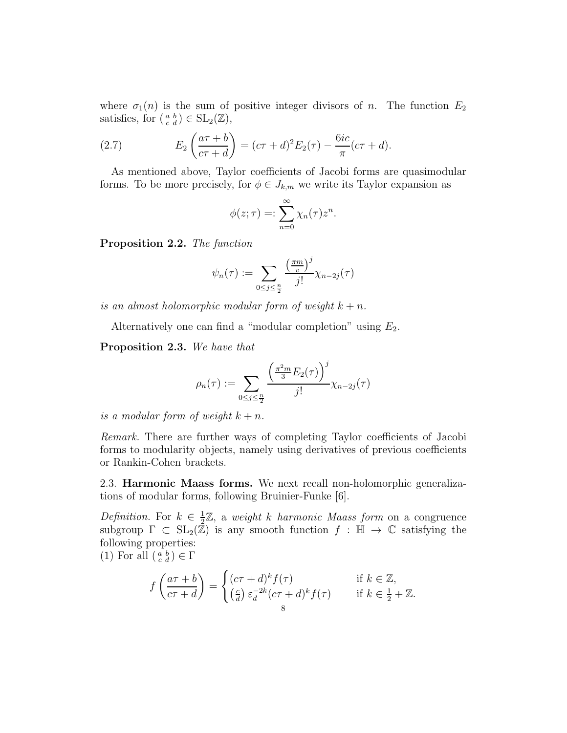where  $\sigma_1(n)$  is the sum of positive integer divisors of n. The function  $E_2$ satisfies, for  $\left(\begin{smallmatrix} a & b \\ c & d \end{smallmatrix}\right) \in SL_2(\mathbb{Z}),$ 

(2.7) 
$$
E_2 \left( \frac{a \tau + b}{c \tau + d} \right) = (c \tau + d)^2 E_2(\tau) - \frac{6ic}{\pi} (c \tau + d).
$$

As mentioned above, Taylor coefficients of Jacobi forms are quasimodular forms. To be more precisely, for  $\phi \in J_{k,m}$  we write its Taylor expansion as

$$
\phi(z;\tau) =: \sum_{n=0}^{\infty} \chi_n(\tau) z^n.
$$

Proposition 2.2. The function

$$
\psi_n(\tau) := \sum_{0 \le j \le \frac{n}{2}} \frac{\left(\frac{\pi m}{v}\right)^j}{j!} \chi_{n-2j}(\tau)
$$

is an almost holomorphic modular form of weight  $k + n$ .

Alternatively one can find a "modular completion" using  $E_2$ .

Proposition 2.3. We have that

$$
\rho_n(\tau) := \sum_{0 \le j \le \frac{n}{2}} \frac{\left(\frac{\pi^2 m}{3} E_2(\tau)\right)^j}{j!} \chi_{n-2j}(\tau)
$$

is a modular form of weight  $k + n$ .

Remark. There are further ways of completing Taylor coefficients of Jacobi forms to modularity objects, namely using derivatives of previous coefficients or Rankin-Cohen brackets.

2.3. Harmonic Maass forms. We next recall non-holomorphic generalizations of modular forms, following Bruinier-Funke [6].

Definition. For  $k \in \frac{1}{2}$  $\frac{1}{2}\mathbb{Z}$ , a weight k harmonic Maass form on a congruence subgroup  $\Gamma \subset SL_2(\mathbb{Z})$  is any smooth function  $f : \mathbb{H} \to \mathbb{C}$  satisfying the following properties:

(1) For all  $\left(\begin{smallmatrix} a & b \\ c & d \end{smallmatrix}\right) \in \Gamma$ 

$$
f\left(\frac{a\tau+b}{c\tau+d}\right) = \begin{cases} (c\tau+d)^k f(\tau) & \text{if } k \in \mathbb{Z},\\ \left(\frac{c}{d}\right) \varepsilon_d^{-2k} (c\tau+d)^k f(\tau) & \text{if } k \in \frac{1}{2} + \mathbb{Z}. \end{cases}
$$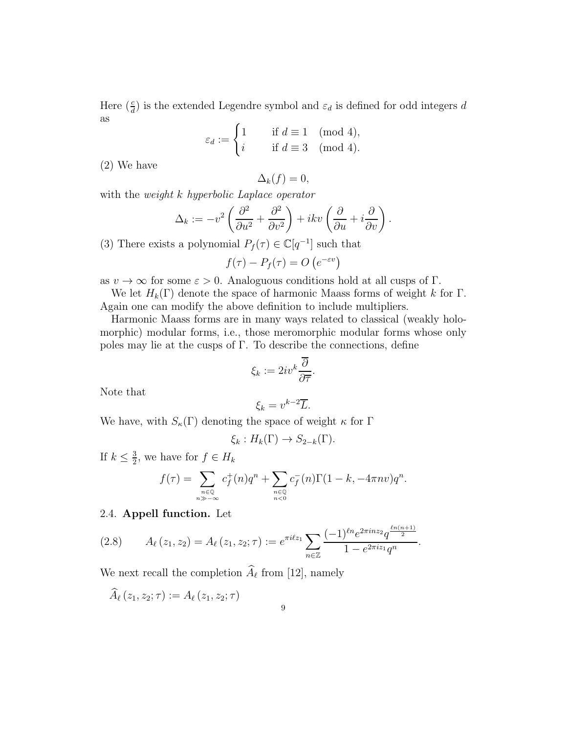Here  $(\frac{c}{d})$  is the extended Legendre symbol and  $\varepsilon_d$  is defined for odd integers d as

$$
\varepsilon_d := \begin{cases} 1 & \text{if } d \equiv 1 \pmod{4}, \\ i & \text{if } d \equiv 3 \pmod{4}. \end{cases}
$$

(2) We have

$$
\Delta_k(f) = 0,
$$

with the *weight* k hyperbolic Laplace operator

$$
\Delta_k := -v^2 \left( \frac{\partial^2}{\partial u^2} + \frac{\partial^2}{\partial v^2} \right) + ikv \left( \frac{\partial}{\partial u} + i \frac{\partial}{\partial v} \right).
$$

(3) There exists a polynomial  $P_f(\tau) \in \mathbb{C}[q^{-1}]$  such that

$$
f(\tau) - P_f(\tau) = O\left(e^{-\varepsilon v}\right)
$$

as  $v \to \infty$  for some  $\varepsilon > 0$ . Analoguous conditions hold at all cusps of  $\Gamma$ .

We let  $H_k(\Gamma)$  denote the space of harmonic Maass forms of weight k for  $\Gamma$ . Again one can modify the above definition to include multipliers.

Harmonic Maass forms are in many ways related to classical (weakly holomorphic) modular forms, i.e., those meromorphic modular forms whose only poles may lie at the cusps of  $\Gamma$ . To describe the connections, define

$$
\xi_k := 2iv^k \frac{\overline{\partial}}{\partial \overline{\tau}}.
$$

Note that

$$
\xi_k = v^{k-2} \overline{L}.
$$

We have, with  $S_{\kappa}(\Gamma)$  denoting the space of weight  $\kappa$  for  $\Gamma$ 

$$
\xi_k: H_k(\Gamma) \to S_{2-k}(\Gamma).
$$

If  $k \leq \frac{3}{2}$  $\frac{3}{2}$ , we have for  $f \in H_k$ 

$$
f(\tau) = \sum_{\substack{n \in \mathbb{Q} \\ n \gg -\infty}} c_f^+(n)q^n + \sum_{\substack{n \in \mathbb{Q} \\ n < 0}} c_f^-(n)\Gamma(1-k, -4\pi n v)q^n.
$$

# 2.4. Appell function. Let

$$
(2.8) \qquad A_{\ell}(z_1, z_2) = A_{\ell}(z_1, z_2; \tau) := e^{\pi i \ell z_1} \sum_{n \in \mathbb{Z}} \frac{(-1)^{\ell n} e^{2\pi i n z_2} q^{\frac{\ell n (n+1)}{2}}}{1 - e^{2\pi i z_1} q^n}.
$$

We next recall the completion  $A_{\ell}$  from [12], namely

$$
\widehat{A}_\ell\left(z_1,z_2;\tau\right):=A_\ell\left(z_1,z_2;\tau\right)
$$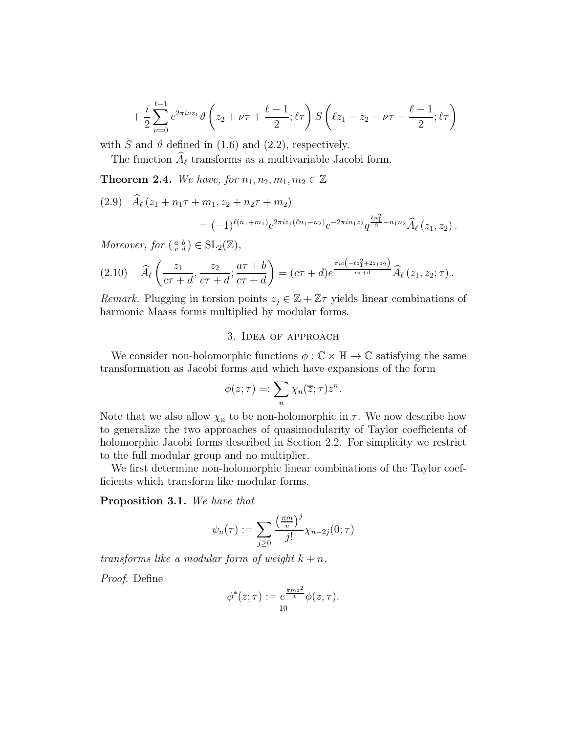$$
+\frac{i}{2}\sum_{\nu=0}^{\ell-1}e^{2\pi i\nu z_1}\vartheta\left(z_2+\nu\tau+\frac{\ell-1}{2};\ell\tau\right)S\left(\ell z_1-z_2-\nu\tau-\frac{\ell-1}{2};\ell\tau\right)
$$

with S and  $\vartheta$  defined in (1.6) and (2.2), respectively.

The function  $\widehat{A}_{\ell}$  transforms as a multivariable Jacobi form.

**Theorem 2.4.** We have, for  $n_1, n_2, m_1, m_2 \in \mathbb{Z}$ 

(2.9)  $\widehat{A}_{\ell}(z_1 + n_1\tau + m_1, z_2 + n_2\tau + m_2)$ 

$$
= (-1)^{\ell(n_1+m_1)} e^{2\pi i z_1(\ell n_1-n_2)} e^{-2\pi i n_1 z_2} q^{\frac{\ell n_1^2}{2} - n_1 n_2} \widehat{A}_{\ell}(z_1, z_2).
$$

Moreover, for  $\left(\begin{smallmatrix} a & b \\ c & d \end{smallmatrix}\right) \in SL_2(\mathbb{Z}),$ 

$$
(2.10) \quad \widehat{A}_{\ell}\left(\frac{z_1}{c\tau+d},\frac{z_2}{c\tau+d};\frac{a\tau+b}{c\tau+d}\right)=(c\tau+d)e^{\frac{\pi ic\left(-\ell z_1^2+2z_1z_2\right)}{c\tau+d}}\widehat{A}_{\ell}(z_1,z_2;\tau).
$$

*Remark.* Plugging in torsion points  $z_j \in \mathbb{Z} + \mathbb{Z}\tau$  yields linear combinations of harmonic Maass forms multiplied by modular forms.

### 3. Idea of approach

We consider non-holomorphic functions  $\phi : \mathbb{C} \times \mathbb{H} \to \mathbb{C}$  satisfying the same transformation as Jacobi forms and which have expansions of the form

$$
\phi(z;\tau) =: \sum_{n} \chi_n(\overline{z};\tau) z^n.
$$

Note that we also allow  $\chi_n$  to be non-holomorphic in  $\tau$ . We now describe how to generalize the two approaches of quasimodularity of Taylor coefficients of holomorphic Jacobi forms described in Section 2.2. For simplicity we restrict to the full modular group and no multiplier.

We first determine non-holomorphic linear combinations of the Taylor coefficients which transform like modular forms.

Proposition 3.1. We have that

$$
\psi_n(\tau) := \sum_{j\geq 0} \frac{\left(\frac{\pi m}{v}\right)^j}{j!} \chi_{n-2j}(0;\tau)
$$

transforms like a modular form of weight  $k + n$ .

Proof. Define

$$
\phi^*(z;\tau) := e^{\frac{\pi m z^2}{v}} \phi(z,\tau).
$$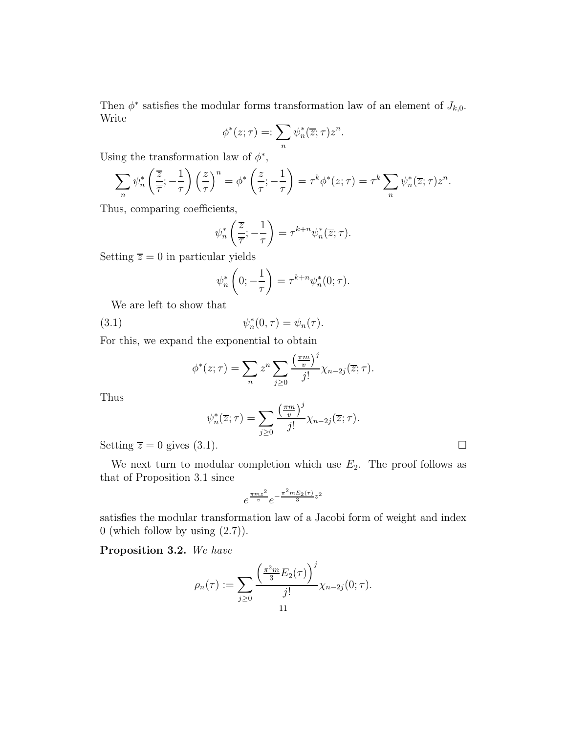Then  $\phi^*$  satisfies the modular forms transformation law of an element of  $J_{k,0}$ . Write

$$
\phi^*(z;\tau) =: \sum_n \psi_n^*(\overline{z};\tau) z^n.
$$

Using the transformation law of  $\phi^*$ ,

$$
\sum_{n} \psi_n^* \left( \frac{\overline{z}}{\overline{\tau}}; -\frac{1}{\tau} \right) \left( \frac{z}{\tau} \right)^n = \phi^* \left( \frac{z}{\tau}; -\frac{1}{\tau} \right) = \tau^k \phi^*(z; \tau) = \tau^k \sum_{n} \psi_n^* (\overline{z}; \tau) z^n.
$$

Thus, comparing coefficients,

$$
\psi_n^* \left( \frac{\overline{z}}{\overline{\tau}} ; -\frac{1}{\tau} \right) = \tau^{k+n} \psi_n^* (\overline{z}; \tau).
$$

Setting  $\overline{z} = 0$  in particular yields

$$
\psi_n^* \left( 0; -\frac{1}{\tau} \right) = \tau^{k+n} \psi_n^* (0; \tau).
$$

We are left to show that

 $(3.1)$  $_{n}^{*}(0,\tau)=\psi_{n}(\tau).$ 

For this, we expand the exponential to obtain

$$
\phi^*(z;\tau) = \sum_n z^n \sum_{j\geq 0} \frac{\left(\frac{\pi m}{v}\right)^j}{j!} \chi_{n-2j}(\overline{z};\tau).
$$

Thus

$$
\psi_n^*(\overline{z};\tau) = \sum_{j\geq 0} \frac{\left(\frac{\pi m}{v}\right)^j}{j!} \chi_{n-2j}(\overline{z};\tau).
$$

Setting  $\overline{z} = 0$  gives (3.1).

We next turn to modular completion which use  $E_2$ . The proof follows as that of Proposition 3.1 since

$$
e^{\frac{\pi m z^2}{v}}e^{-\frac{\pi^2 m E_2(\tau)}{3}z^2}
$$

satisfies the modular transformation law of a Jacobi form of weight and index 0 (which follow by using  $(2.7)$ ).

Proposition 3.2. We have

$$
\rho_n(\tau) := \sum_{j\geq 0} \frac{\left(\frac{\pi^2 m}{3} E_2(\tau)\right)^j}{j!} \chi_{n-2j}(0; \tau).
$$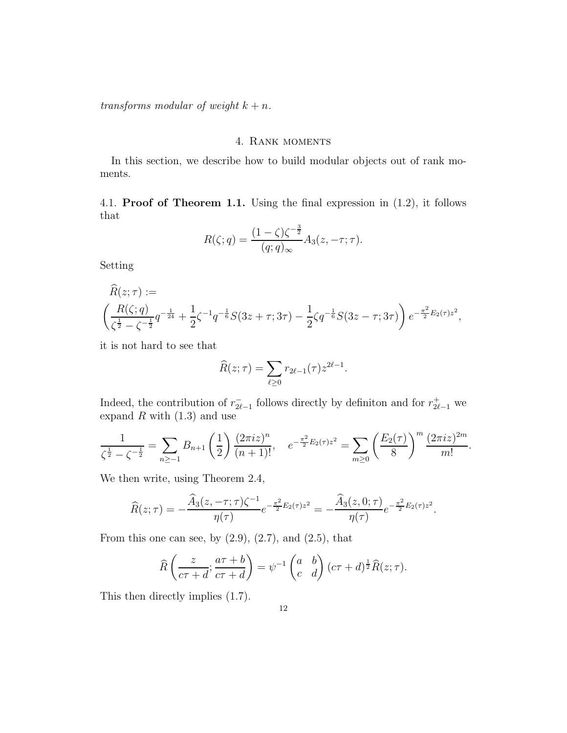transforms modular of weight  $k + n$ .

### 4. Rank moments

In this section, we describe how to build modular objects out of rank moments.

4.1. Proof of Theorem 1.1. Using the final expression in (1.2), it follows that

$$
R(\zeta;q) = \frac{(1-\zeta)\zeta^{-\frac{3}{2}}}{(q;q)_{\infty}}A_3(z,-\tau;\tau).
$$

Setting

$$
R(z; \tau) :=
$$
  

$$
\left(\frac{R(\zeta; q)}{\zeta^{\frac{1}{2}} - \zeta^{-\frac{1}{2}q}} \right) + \frac{1}{2} \zeta^{-1} q^{-\frac{1}{6}} S(3z + \tau; 3\tau) - \frac{1}{2} \zeta q^{-\frac{1}{6}} S(3z - \tau; 3\tau) \bigg) e^{-\frac{\pi^2}{2} E_2(\tau) z^2},
$$

it is not hard to see that

$$
\widehat{R}(z;\tau) = \sum_{\ell \ge 0} r_{2\ell-1}(\tau) z^{2\ell-1}.
$$

Indeed, the contribution of  $r_{2\ell}^ ^{-}_{2\ell-1}$  follows directly by definiton and for  $r_{2\ell-1}^{+}$  we expand  $R$  with  $(1.3)$  and use

$$
\frac{1}{\zeta^{\frac{1}{2}} - \zeta^{-\frac{1}{2}}} = \sum_{n \ge -1} B_{n+1} \left(\frac{1}{2}\right) \frac{(2\pi i z)^n}{(n+1)!}, \quad e^{-\frac{\pi^2}{2}E_2(\tau)z^2} = \sum_{m \ge 0} \left(\frac{E_2(\tau)}{8}\right)^m \frac{(2\pi i z)^{2m}}{m!}.
$$

We then write, using Theorem 2.4,

$$
\widehat{R}(z;\tau) = -\frac{\widehat{A}_3(z,-\tau;\tau)\zeta^{-1}}{\eta(\tau)}e^{-\frac{\pi^2}{2}E_2(\tau)z^2} = -\frac{\widehat{A}_3(z,0;\tau)}{\eta(\tau)}e^{-\frac{\pi^2}{2}E_2(\tau)z^2}.
$$

From this one can see, by  $(2.9)$ ,  $(2.7)$ , and  $(2.5)$ , that

$$
\widehat{R}\left(\frac{z}{c\tau+d};\frac{a\tau+b}{c\tau+d}\right)=\psi^{-1}\begin{pmatrix}a&b\\c&d\end{pmatrix}(c\tau+d)^{\frac{1}{2}}\widehat{R}(z;\tau).
$$

This then directly implies (1.7).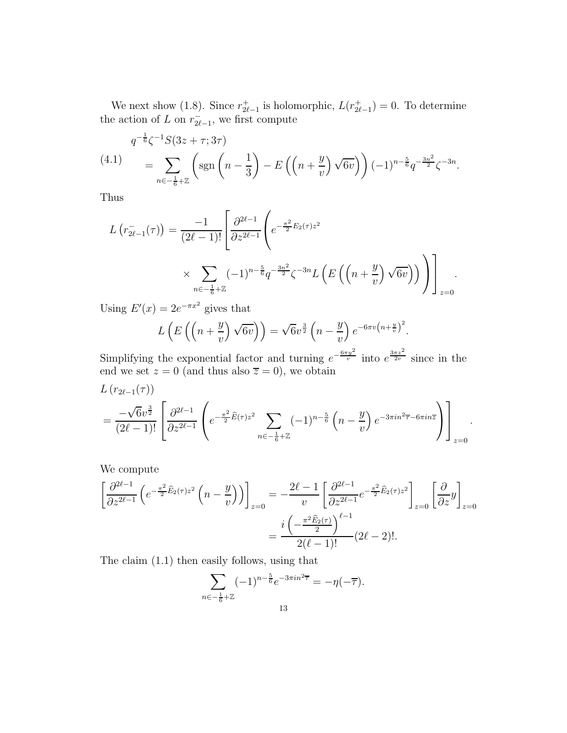We next show (1.8). Since  $r_{2\ell}^+$ <sup>+</sup><sub>2ℓ−1</sub> is holomorphic,  $L(r_{2\ell}^+)$  $t_{2\ell-1}^+$ ) = 0. To determine the action of L on  $r_{2\ell}^ \bar{2\ell-1}$ , we first compute

$$
q^{-\frac{1}{6}}\zeta^{-1}S(3z+\tau;3\tau)
$$
\n
$$
= \sum_{n\in -\frac{1}{6}+\mathbb{Z}} \left( \text{sgn}\left(n-\frac{1}{3}\right) - E\left(\left(n+\frac{y}{v}\right)\sqrt{6v}\right) \right) (-1)^{n-\frac{5}{6}}q^{-\frac{3n^2}{2}}\zeta^{-3n}.
$$

Thus

$$
L(r_{2\ell-1}^{-}(\tau)) = \frac{-1}{(2\ell-1)!} \left[ \frac{\partial^{2\ell-1}}{\partial z^{2\ell-1}} \left( e^{-\frac{\pi^2}{2} E_2(\tau) z^2} \times \sum_{n \in -\frac{1}{6} + \mathbb{Z}} (-1)^{n - \frac{5}{6}} q^{-\frac{3n^2}{2}} \zeta^{-3n} L\left( E\left( \left( n + \frac{y}{v} \right) \sqrt{6v} \right) \right) \right) \right]_{z=0}.
$$

Using  $E'(x) = 2e^{-\pi x^2}$  gives that

$$
L\left(E\left(\left(n+\frac{y}{v}\right)\sqrt{6v}\right)\right) = \sqrt{6}v^{\frac{3}{2}}\left(n-\frac{y}{v}\right)e^{-6\pi v\left(n+\frac{y}{v}\right)^2}.
$$

Simplifying the exponential factor and turning  $e^{-\frac{6\pi y^2}{v}}$  into  $e^{\frac{3\pi z^2}{2v}}$  since in the end we set  $z = 0$  (and thus also  $\overline{z} = 0$ ), we obtain

$$
L(r_{2\ell-1}(\tau)) = \frac{-\sqrt{6}v^{\frac{3}{2}}}{(2\ell-1)!} \left[ \frac{\partial^{2\ell-1}}{\partial z^{2\ell-1}} \left( e^{-\frac{\pi^2}{2}\hat{E}(\tau)z^2} \sum_{n\in-\frac{1}{6}+\mathbb{Z}} (-1)^{n-\frac{5}{6}} \left( n-\frac{y}{v} \right) e^{-3\pi i n^2 \overline{\tau}-6\pi i n \overline{z}} \right) \right]_{z=0}.
$$

We compute

$$
\left[\frac{\partial^{2\ell-1}}{\partial z^{2\ell-1}}\left(e^{-\frac{\pi^2}{2}\widehat{E}_2(\tau)z^2}\left(n-\frac{y}{v}\right)\right)\right]_{z=0} = -\frac{2\ell-1}{v}\left[\frac{\partial^{2\ell-1}}{\partial z^{2\ell-1}}e^{-\frac{\pi^2}{2}\widehat{E}_2(\tau)z^2}\right]_{z=0}\left[\frac{\partial}{\partial z}y\right]_{z=0}
$$

$$
=\frac{i\left(-\frac{\pi^2\widehat{E}_2(\tau)}{2}\right)^{\ell-1}}{2(\ell-1)!}(2\ell-2)!. \tag{2\ell-2}.
$$

The claim (1.1) then easily follows, using that

$$
\sum_{n \in -\frac{1}{6} + \mathbb{Z}} (-1)^{n - \frac{5}{6}} e^{-3\pi i n^2 \overline{\tau}} = -\eta(-\overline{\tau}).
$$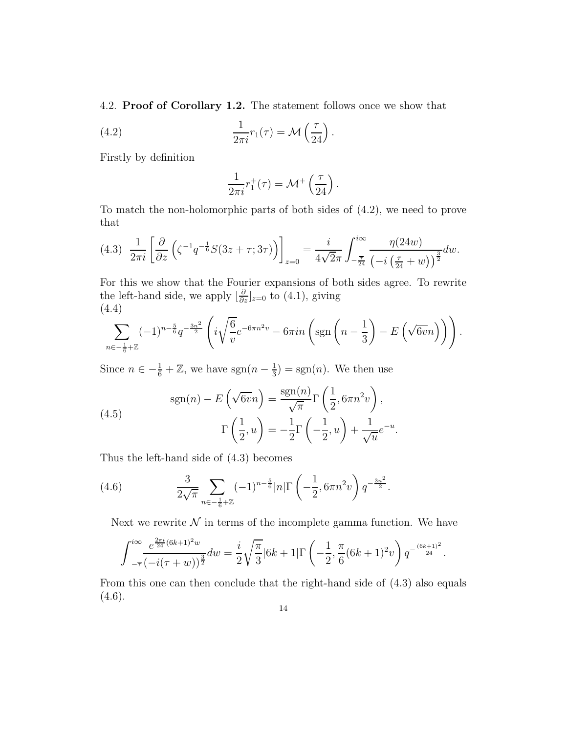4.2. Proof of Corollary 1.2. The statement follows once we show that

(4.2) 
$$
\frac{1}{2\pi i}r_1(\tau) = \mathcal{M}\left(\frac{\tau}{24}\right).
$$

Firstly by definition

$$
\frac{1}{2\pi i}r_1^+(\tau) = \mathcal{M}^+\left(\frac{\tau}{24}\right).
$$

To match the non-holomorphic parts of both sides of (4.2), we need to prove that

$$
(4.3) \frac{1}{2\pi i} \left[ \frac{\partial}{\partial z} \left( \zeta^{-1} q^{-\frac{1}{6}} S(3z + \tau; 3\tau) \right) \right]_{z=0} = \frac{i}{4\sqrt{2\pi}} \int_{-\frac{\overline{\tau}}{24}}^{i\infty} \frac{\eta(24w)}{\left( -i\left(\frac{\tau}{24} + w\right)\right)^{\frac{3}{2}}} dw.
$$

For this we show that the Fourier expansions of both sides agree. To rewrite the left-hand side, we apply  $\left[\frac{\partial}{\partial z}\right]_{z=0}$  to (4.1), giving (4.4)

$$
\sum_{n \in -\frac{1}{6} + \mathbb{Z}} (-1)^{n - \frac{5}{6}} q^{-\frac{3n^2}{2}} \left( i \sqrt{\frac{6}{v}} e^{-6\pi n^2 v} - 6\pi i n \left( sgn \left( n - \frac{1}{3} \right) - E \left( \sqrt{6v} n \right) \right) \right).
$$

Since  $n \in -\frac{1}{6} + \mathbb{Z}$ , we have  $sgn(n - \frac{1}{3})$  $\frac{1}{3}$ ) = sgn(*n*). We then use

(4.5) 
$$
\text{sgn}(n) - E\left(\sqrt{6v}n\right) = \frac{\text{sgn}(n)}{\sqrt{\pi}} \Gamma\left(\frac{1}{2}, 6\pi n^2 v\right),
$$

$$
\Gamma\left(\frac{1}{2}, u\right) = -\frac{1}{2} \Gamma\left(-\frac{1}{2}, u\right) + \frac{1}{\sqrt{u}} e^{-u}.
$$

Thus the left-hand side of (4.3) becomes

(4.6) 
$$
\frac{3}{2\sqrt{\pi}} \sum_{n \in -\frac{1}{6} + \mathbb{Z}} (-1)^{n - \frac{5}{6}} |n| \Gamma\left(-\frac{1}{2}, 6\pi n^2 v\right) q^{-\frac{3n^2}{2}}.
$$

Next we rewrite  $N$  in terms of the incomplete gamma function. We have

$$
\int_{-\overline{\tau}}^{i\infty} \frac{e^{\frac{2\pi i}{24}(6k+1)^2 w}}{(-i(\tau+w))^{\frac{3}{2}}} dw = \frac{i}{2} \sqrt{\frac{\pi}{3}} |6k+1| \Gamma\left(-\frac{1}{2}, \frac{\pi}{6}(6k+1)^2 v\right) q^{-\frac{(6k+1)^2}{24}}.
$$

From this one can then conclude that the right-hand side of (4.3) also equals  $(4.6).$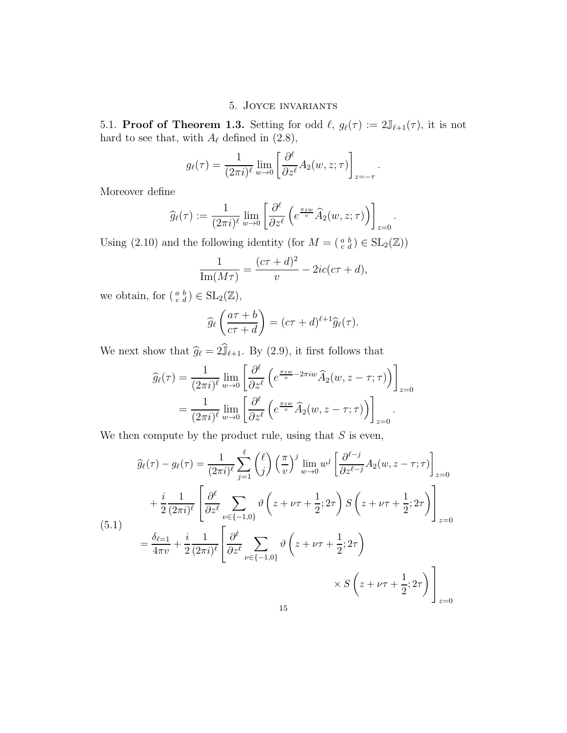## 5. Joyce invariants

5.1. **Proof of Theorem 1.3.** Setting for odd  $\ell$ ,  $g_{\ell}(\tau) := 2\mathbb{J}_{\ell+1}(\tau)$ , it is not hard to see that, with  $A_{\ell}$  defined in (2.8),

$$
g_{\ell}(\tau) = \frac{1}{(2\pi i)^{\ell}} \lim_{w \to 0} \left[ \frac{\partial^{\ell}}{\partial z^{\ell}} A_2(w, z; \tau) \right]_{z=-\tau}.
$$

Moreover define

$$
\widehat{g}_{\ell}(\tau) := \frac{1}{(2\pi i)^{\ell}} \lim_{w \to 0} \left[ \frac{\partial^{\ell}}{\partial z^{\ell}} \left( e^{\frac{\pi z w}{v}} \widehat{A}_2(w, z; \tau) \right) \right]_{z=0}.
$$

Using (2.10) and the following identity (for  $M = \begin{pmatrix} a & b \\ c & d \end{pmatrix} \in SL_2(\mathbb{Z})$ )

$$
\frac{1}{\text{Im}(M\tau)} = \frac{(c\tau + d)^2}{v} - 2ic(c\tau + d),
$$

we obtain, for  $\left(\begin{smallmatrix} a & b \\ c & d \end{smallmatrix}\right) \in SL_2(\mathbb{Z}),$ 

$$
\widehat{g}_{\ell}\left(\frac{a\tau+b}{c\tau+d}\right)=(c\tau+d)^{\ell+1}\widehat{g}_{\ell}(\tau).
$$

We next show that  $\widehat{g}_{\ell} = 2\widehat{\mathbb{J}}_{\ell+1}$ . By (2.9), it first follows that

$$
\widehat{g}_{\ell}(\tau) = \frac{1}{(2\pi i)^{\ell}} \lim_{w \to 0} \left[ \frac{\partial^{\ell}}{\partial z^{\ell}} \left( e^{\frac{\pi z w}{v} - 2\pi i w} \widehat{A}_2(w, z - \tau; \tau) \right) \right]_{z=0}
$$

$$
= \frac{1}{(2\pi i)^{\ell}} \lim_{w \to 0} \left[ \frac{\partial^{\ell}}{\partial z^{\ell}} \left( e^{\frac{\pi z w}{v}} \widehat{A}_2(w, z - \tau; \tau) \right) \right]_{z=0}.
$$

We then compute by the product rule, using that  $S$  is even,

$$
\widehat{g}_{\ell}(\tau) - g_{\ell}(\tau) = \frac{1}{(2\pi i)^{\ell}} \sum_{j=1}^{\ell} {\ell \choose j} \left(\frac{\pi}{v}\right)^j \lim_{w \to 0} w^j \left[\frac{\partial^{\ell-j}}{\partial z^{\ell-j}} A_2(w, z - \tau; \tau)\right]_{z=0}
$$
\n
$$
+ \frac{i}{2} \frac{1}{(2\pi i)^{\ell}} \left[\frac{\partial^{\ell}}{\partial z^{\ell}} \sum_{\nu \in \{-1, 0\}} \vartheta \left(z + \nu \tau + \frac{1}{2}; 2\tau\right) S\left(z + \nu \tau + \frac{1}{2}; 2\tau\right)\right]_{z=0}
$$
\n(5.1)\n
$$
= \frac{\delta_{\ell=1}}{4\pi v} + \frac{i}{2} \frac{1}{(2\pi i)^{\ell}} \left[\frac{\partial^{\ell}}{\partial z^{\ell}} \sum_{\nu \in \{-1, 0\}} \vartheta \left(z + \nu \tau + \frac{1}{2}; 2\tau\right) \right] \times S\left(z + \nu \tau + \frac{1}{2}; 2\tau\right) \right]_{z=0}
$$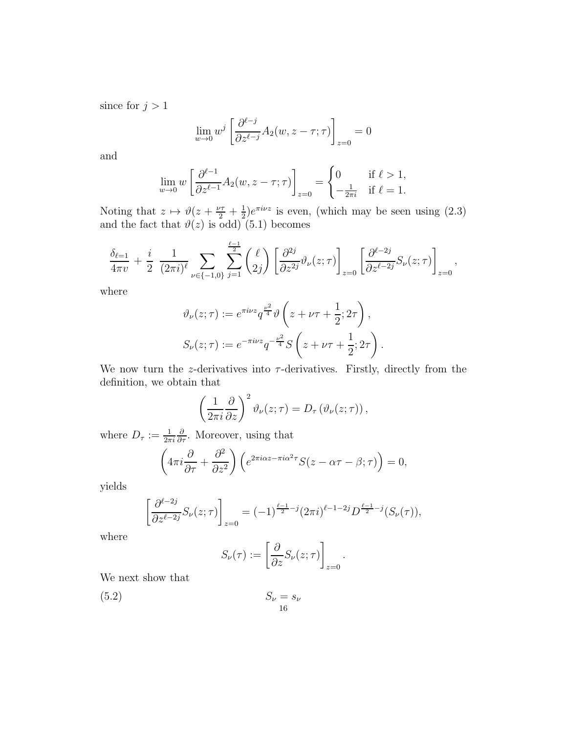since for  $j > 1$ 

$$
\lim_{w \to 0} w^j \left[ \frac{\partial^{\ell-j}}{\partial z^{\ell-j}} A_2(w, z - \tau; \tau) \right]_{z=0} = 0
$$

and

$$
\lim_{w \to 0} w \left[ \frac{\partial^{\ell-1}}{\partial z^{\ell-1}} A_2(w, z - \tau; \tau) \right]_{z=0} = \begin{cases} 0 & \text{if } \ell > 1, \\ -\frac{1}{2\pi i} & \text{if } \ell = 1. \end{cases}
$$

Noting that  $z \mapsto \vartheta(z + \frac{\nu\tau}{2} + \frac{1}{2})$  $\frac{1}{2}$ ) $e^{\pi i \nu z}$  is even, (which may be seen using (2.3) and the fact that  $\vartheta(z)$  is odd) (5.1) becomes

$$
\frac{\delta_{\ell=1}}{4\pi v} + \frac{i}{2} \frac{1}{(2\pi i)^{\ell}} \sum_{\nu \in \{-1,0\}} \sum_{j=1}^{\frac{\ell-1}{2}} {\binom{\ell}{2j}} \left[ \frac{\partial^{2j}}{\partial z^{2j}} \vartheta_{\nu}(z;\tau) \right]_{z=0} \left[ \frac{\partial^{\ell-2j}}{\partial z^{\ell-2j}} S_{\nu}(z;\tau) \right]_{z=0},
$$

where

$$
\vartheta_{\nu}(z;\tau) := e^{\pi i \nu z} q^{\frac{\nu^2}{4}} \vartheta \left( z + \nu \tau + \frac{1}{2}; 2\tau \right),
$$
  

$$
S_{\nu}(z;\tau) := e^{-\pi i \nu z} q^{-\frac{\nu^2}{4}} S \left( z + \nu \tau + \frac{1}{2}; 2\tau \right).
$$

We now turn the *z*-derivatives into  $\tau$ -derivatives. Firstly, directly from the definition, we obtain that

$$
\left(\frac{1}{2\pi i}\frac{\partial}{\partial z}\right)^2 \vartheta_{\nu}(z;\tau) = D_{\tau}(\vartheta_{\nu}(z;\tau)),
$$

where  $D_{\tau} := \frac{1}{2\pi i}$  $\frac{\partial}{\partial \tau}$ . Moreover, using that

$$
\left(4\pi i \frac{\partial}{\partial \tau} + \frac{\partial^2}{\partial z^2}\right) \left(e^{2\pi i \alpha z - \pi i \alpha^2 \tau} S(z - \alpha \tau - \beta; \tau)\right) = 0,
$$

yields

$$
\left[\frac{\partial^{\ell-2j}}{\partial z^{\ell-2j}}S_{\nu}(z;\tau)\right]_{z=0} = (-1)^{\frac{\ell-1}{2}-j}(2\pi i)^{\ell-1-2j}D^{\frac{\ell-1}{2}-j}(S_{\nu}(\tau)),
$$

where

$$
S_{\nu}(\tau) := \left[\frac{\partial}{\partial z} S_{\nu}(z;\tau)\right]_{z=0}.
$$

We next show that

$$
(5.2) \t\t S_{\nu} = s_{\nu}
$$

$$
16
$$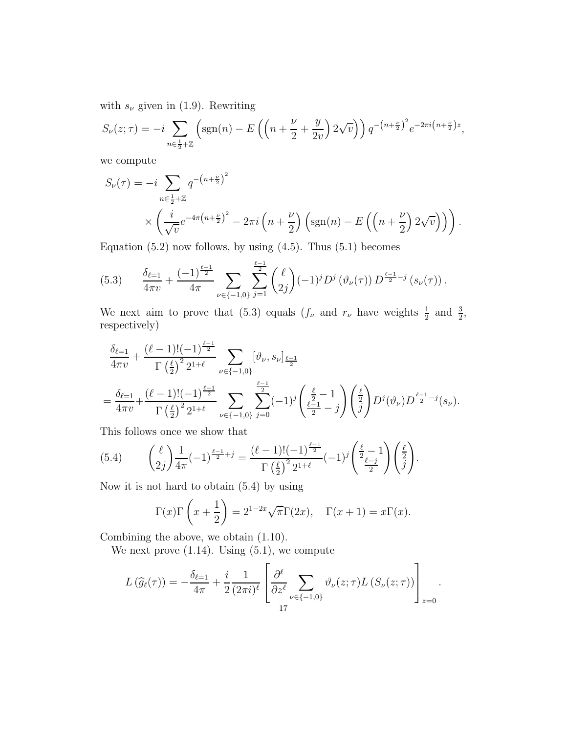with  $s_{\nu}$  given in (1.9). Rewriting

$$
S_{\nu}(z;\tau) = -i \sum_{n \in \frac{1}{2} + \mathbb{Z}} \left( \text{sgn}(n) - E\left( \left( n + \frac{\nu}{2} + \frac{y}{2\nu} \right) 2\sqrt{\nu} \right) \right) q^{-\left( n + \frac{\nu}{2} \right)^2} e^{-2\pi i \left( n + \frac{\nu}{2} \right) z},
$$

we compute

$$
S_{\nu}(\tau) = -i \sum_{n \in \frac{1}{2} + \mathbb{Z}} q^{-\left(n + \frac{\nu}{2}\right)^2}
$$
  
\$\times \left(\frac{i}{\sqrt{v}}e^{-4\pi\left(n + \frac{\nu}{2}\right)^2} - 2\pi i \left(n + \frac{\nu}{2}\right)\left(\text{sgn}(n) - E\left(\left(n + \frac{\nu}{2}\right)2\sqrt{v}\right)\right)\right).

Equation  $(5.2)$  now follows, by using  $(4.5)$ . Thus  $(5.1)$  becomes

$$
(5.3) \qquad \frac{\delta_{\ell=1}}{4\pi \nu} + \frac{(-1)^{\frac{\ell-1}{2}}}{4\pi} \sum_{\nu \in \{-1,0\}} \sum_{j=1}^{\frac{\ell-1}{2}} {\binom{\ell}{2j}} (-1)^j D^j \left(\vartheta_{\nu}(\tau)\right) D^{\frac{\ell-1}{2}-j} \left(s_{\nu}(\tau)\right).
$$

We next aim to prove that (5.3) equals  $(f_{\nu} \text{ and } r_{\nu})$  have weights  $\frac{1}{2}$  and  $\frac{3}{2}$ , respectively)

$$
\frac{\delta_{\ell=1}}{4\pi v} + \frac{(\ell-1)!(-1)^{\frac{\ell-1}{2}}}{\Gamma(\frac{\ell}{2})^2 2^{1+\ell}} \sum_{\nu \in \{-1,0\}} [\vartheta_{\nu}, s_{\nu}]_{\frac{\ell-1}{2}} \n= \frac{\delta_{\ell=1}}{4\pi v} + \frac{(\ell-1)!(-1)^{\frac{\ell-1}{2}}}{\Gamma(\frac{\ell}{2})^2 2^{1+\ell}} \sum_{\nu \in \{-1,0\}} \sum_{j=0}^{\frac{\ell-1}{2}} (-1)^j \left(\frac{\frac{\ell}{2}}{\frac{\ell-1}{2}} - j\right) \left(\frac{\frac{\ell}{2}}{j}\right) D^j(\vartheta_{\nu}) D^{\frac{\ell-1}{2} - j}(s_{\nu}).
$$

This follows once we show that

(5.4) 
$$
\binom{\ell}{2j} \frac{1}{4\pi} (-1)^{\frac{\ell-1}{2}+j} = \frac{(\ell-1)!(-1)^{\frac{\ell-1}{2}}}{\Gamma(\frac{\ell}{2})^2 2^{1+\ell}} (-1)^j \binom{\frac{\ell}{2}-1}{\frac{\ell-j}{2}} \binom{\frac{\ell}{2}}{j}.
$$

Now it is not hard to obtain (5.4) by using

$$
\Gamma(x)\Gamma\left(x+\frac{1}{2}\right) = 2^{1-2x}\sqrt{\pi}\Gamma(2x), \quad \Gamma(x+1) = x\Gamma(x).
$$

Combining the above, we obtain (1.10).

We next prove  $(1.14)$ . Using  $(5.1)$ , we compute

$$
L(\widehat{g}_{\ell}(\tau)) = -\frac{\delta_{\ell=1}}{4\pi} + \frac{i}{2} \frac{1}{(2\pi i)^{\ell}} \left[ \frac{\partial^{\ell}}{\partial z^{\ell}} \sum_{\nu \in \{-1,0\}} \vartheta_{\nu}(z;\tau) L(S_{\nu}(z;\tau)) \right]_{z=0}.
$$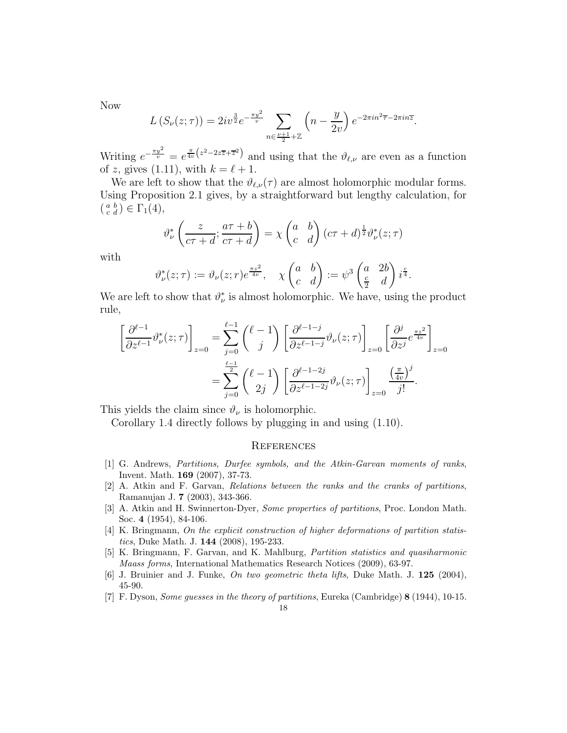Now

$$
L(S_{\nu}(z;\tau)) = 2iv^{\frac{3}{2}}e^{-\frac{\pi y^2}{v}} \sum_{n \in \frac{\nu+1}{2}+\mathbb{Z}} \left(n - \frac{y}{2v}\right)e^{-2\pi i n^2 \overline{\tau} - 2\pi i n \overline{z}}.
$$

Writing  $e^{-\frac{\pi y^2}{v}} = e^{\frac{\pi}{4v}(z^2 - 2z\overline{z} + \overline{z}^2)}$  and using that the  $\vartheta_{\ell,\nu}$  are even as a function of z, gives (1.11), with  $k = \ell + 1$ .

We are left to show that the  $\vartheta_{\ell,\nu}(\tau)$  are almost holomorphic modular forms. Using Proposition 2.1 gives, by a straightforward but lengthy calculation, for  $\left(\begin{smallmatrix} a & b \\ c & d \end{smallmatrix}\right) \in \Gamma_1(4),$ 

$$
\vartheta_{\nu}^{*}\left(\frac{z}{c\tau+d};\frac{a\tau+b}{c\tau+d}\right)=\chi\begin{pmatrix}a&b\\c&d\end{pmatrix}(c\tau+d)^{\frac{1}{2}}\vartheta_{\nu}^{*}(z;\tau)
$$

with

$$
\vartheta^*_{\nu}(z;\tau):=\vartheta_{\nu}(z;r)e^{\frac{\pi z^2}{4v}},\quad \chi\begin{pmatrix}a&b\\c&d\end{pmatrix}:=\psi^3\begin{pmatrix}a&2b\\ \frac{c}{2}&d\end{pmatrix}i^{\frac{c}{4}}.
$$

We are left to show that  $\vartheta^*_{\nu}$  is almost holomorphic. We have, using the product rule,

$$
\left[\frac{\partial^{\ell-1}}{\partial z^{\ell-1}}\vartheta^*_{\nu}(z;\tau)\right]_{z=0} = \sum_{j=0}^{\ell-1} {\ell-1 \choose j} \left[\frac{\partial^{\ell-1-j}}{\partial z^{\ell-1-j}}\vartheta_{\nu}(z;\tau)\right]_{z=0} \left[\frac{\partial^j}{\partial z^j}e^{\frac{\pi z^2}{4v}}\right]_{z=0}
$$

$$
= \sum_{j=0}^{\frac{\ell-1}{2}} {\ell-1 \choose 2j} \left[\frac{\partial^{\ell-1-2j}}{\partial z^{\ell-1-2j}}\vartheta_{\nu}(z;\tau)\right]_{z=0} \frac{\left(\frac{\pi}{4v}\right)^j}{j!}.
$$

This yields the claim since  $\vartheta_{\nu}$  is holomorphic.

Corollary 1.4 directly follows by plugging in and using (1.10).

#### **REFERENCES**

- [1] G. Andrews, Partitions, Durfee symbols, and the Atkin-Garvan moments of ranks, Invent. Math. 169 (2007), 37-73.
- [2] A. Atkin and F. Garvan, Relations between the ranks and the cranks of partitions, Ramanujan J. 7 (2003), 343-366.
- [3] A. Atkin and H. Swinnerton-Dyer, Some properties of partitions, Proc. London Math. Soc. 4 (1954), 84-106.
- [4] K. Bringmann, On the explicit construction of higher deformations of partition statistics, Duke Math. J. 144 (2008), 195-233.
- [5] K. Bringmann, F. Garvan, and K. Mahlburg, Partition statistics and quasiharmonic Maass forms, International Mathematics Research Notices (2009), 63-97.
- [6] J. Bruinier and J. Funke, On two geometric theta lifts, Duke Math. J. 125 (2004), 45-90.
- [7] F. Dyson, Some guesses in the theory of partitions, Eureka (Cambridge) 8 (1944), 10-15.